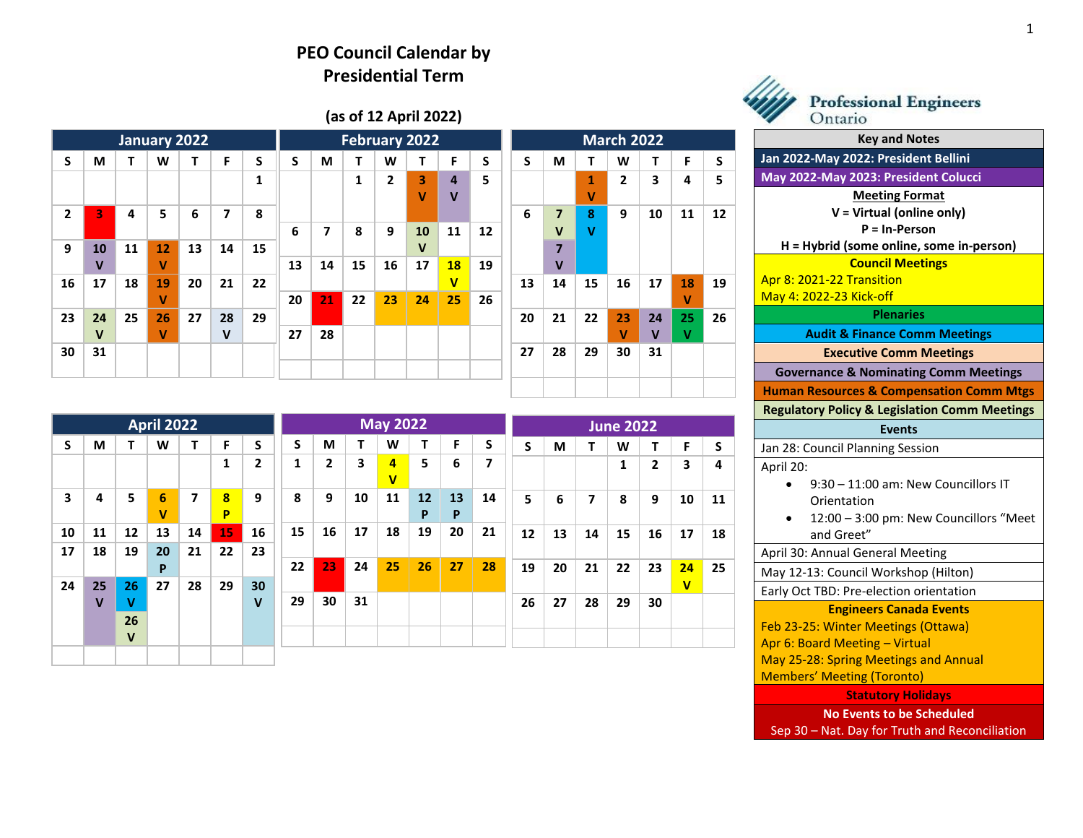## **PEO Council Calendar by Presidential Term**

## **(as of 12 April 2022)**

| January 2022 |              |    |    |    |              |    |    |    |    | February 2022 |             | <b>March 2022</b>             |    |    |                |             |              |    |    |
|--------------|--------------|----|----|----|--------------|----|----|----|----|---------------|-------------|-------------------------------|----|----|----------------|-------------|--------------|----|----|
| S            | M            | т  | W  | т  | F            | S  | S  | M  | T  | W             | т           | F                             | S  | S  | M              | Τ           | W            | T  | F  |
|              |              |    |    |    |              | 1  |    |    | 1  | 2             | 3<br>V      | $\overline{4}$<br>$\mathbf v$ | 5  |    |                | 1<br>٧      | $\mathbf{2}$ | 3  | 4  |
| 2            | 3            | 4  | 5  | 6  | 7            | 8  |    |    |    |               |             |                               |    | 6  | $\overline{7}$ | 8           | 9            | 10 | 11 |
|              |              |    |    |    |              |    | 6  | 7  | 8  | 9             | 10          | 11                            | 12 |    | $\mathbf v$    | $\mathbf v$ |              |    |    |
| 9            | 10           | 11 | 12 | 13 | 14           | 15 |    |    |    |               | $\mathbf v$ |                               |    |    | 7              |             |              |    |    |
|              | $\mathbf v$  |    | v  |    |              |    | 13 | 14 | 15 | 16            | 17          | 18                            | 19 |    | v              |             |              |    |    |
| 16           | 17           | 18 | 19 | 20 | 21           | 22 |    |    |    |               |             | $\mathbf v$                   |    | 13 | 14             | 15          | 16           | 17 | 18 |
|              |              |    | v  |    |              |    | 20 | 21 | 22 | 23            | 24          | 25                            | 26 |    |                |             |              |    | ٧  |
| 23           | 24           | 25 | 26 | 27 | 28           | 29 |    |    |    |               |             |                               |    | 20 | 21             | 22          | 23           | 24 | 25 |
|              | $\mathsf{v}$ |    | v  |    | $\mathsf{v}$ |    | 27 | 28 |    |               |             |                               |    |    |                |             | v            | V  | v  |
| 30           | 31           |    |    |    |              |    |    |    |    |               |             |                               |    | 27 | 28             | 29          | 30           | 31 |    |
|              |              |    |    |    |              |    |    |    |    |               |             |                               |    |    |                |             |              |    |    |
|              |              |    |    |    |              |    |    |    |    |               |             |                               |    |    |                |             |              |    |    |

| April 2022 |             |             |        |    |              |                |    | <b>May 2022</b> |    |                              |         |         |    |    |    | <b>June 2022</b> |    |              |             |    |  |  |  |
|------------|-------------|-------------|--------|----|--------------|----------------|----|-----------------|----|------------------------------|---------|---------|----|----|----|------------------|----|--------------|-------------|----|--|--|--|
| S          | M           | т           | W      | т  | F            | S              | S  | М               | Т  | W                            | т       | F       | S  | S  | M  | т                | W  |              | F           | S  |  |  |  |
|            |             |             |        |    | $\mathbf{1}$ | $\overline{2}$ | 1  | 2               | 3  | 4<br>$\overline{\mathsf{v}}$ | 5       | 6       | 7  |    |    |                  | 1  | $\mathbf{2}$ | 3           | 4  |  |  |  |
| 3          | 4           | 5           | 6<br>v | 7  | 8<br>P       | 9              | 8  | 9               | 10 | 11                           | 12<br>P | 13<br>P | 14 | 5  | 6  | 7                | 8  | 9            | 10          | 11 |  |  |  |
| 10         | 11          | 12          | 13     | 14 | 15           | 16             | 15 | 16              | 17 | 18                           | 19      | 20      | 21 | 12 | 13 | 14               | 15 | 16           | 17          | 18 |  |  |  |
| 17         | 18          | 19          | 20     | 21 | 22           | 23             |    |                 |    |                              |         |         |    |    |    |                  |    |              |             |    |  |  |  |
|            |             |             | P      |    |              |                | 22 | 23              | 24 | 25                           | 26      | 27      | 28 | 19 | 20 | 21               | 22 | 23           | 24          | 25 |  |  |  |
| 24         | 25          | 26          | 27     | 28 | 29           | 30             |    |                 |    |                              |         |         |    |    |    |                  |    |              | $\mathbf v$ |    |  |  |  |
|            | $\mathbf v$ | v           |        |    |              | $\mathbf{V}$   | 29 | 30              | 31 |                              |         |         |    | 26 | 27 | 28               | 29 | 30           |             |    |  |  |  |
|            |             | 26          |        |    |              |                |    |                 |    |                              |         |         |    |    |    |                  |    |              |             |    |  |  |  |
|            |             | $\mathbf v$ |        |    |              |                |    |                 |    |                              |         |         |    |    |    |                  |    |              |             |    |  |  |  |
|            |             |             |        |    |              |                |    |                 |    |                              |         |         |    |    |    |                  |    |              |             |    |  |  |  |



**March 2022 S M T W T F S**

**2 3 4 5**

**9 10 11 12**

**19** 

**26**

| <b>Professional Engineers</b> |  |
|-------------------------------|--|
| Ontario                       |  |

| <b>Key and Notes</b>                                     |                                        |
|----------------------------------------------------------|----------------------------------------|
| Jan 2022-May 2022: President Bellini                     |                                        |
| May 2022-May 2023: President Colucci                     |                                        |
| <b>Meeting Format</b>                                    |                                        |
| $V = Virtual (online only)$                              |                                        |
| $P = In-Person$                                          |                                        |
| H = Hybrid (some online, some in-person)                 |                                        |
| <b>Council Meetings</b>                                  |                                        |
| Apr 8: 2021-22 Transition                                |                                        |
| May 4: 2022-23 Kick-off                                  |                                        |
| <b>Plenaries</b>                                         |                                        |
| <b>Audit &amp; Finance Comm Meetings</b>                 |                                        |
| <b>Executive Comm Meetings</b>                           |                                        |
| <b>Governance &amp; Nominating Comm Meetings</b>         |                                        |
| <b>Human Resources &amp; Compensation Comm Mtgs</b>      |                                        |
| <b>Regulatory Policy &amp; Legislation Comm Meetings</b> |                                        |
| <b>Events</b>                                            |                                        |
| Jan 28: Council Planning Session                         |                                        |
| April 20:                                                |                                        |
| 9:30 - 11:00 am: New Councillors IT                      |                                        |
| Orientation                                              |                                        |
|                                                          | 12:00 - 3:00 pm: New Councillors "Meet |
| and Greet"                                               |                                        |
| April 30: Annual General Meeting                         |                                        |
| May 12-13: Council Workshop (Hilton)                     |                                        |
| Early Oct TBD: Pre-election orientation                  |                                        |
| <b>Engineers Canada Events</b>                           |                                        |
| Feb 23-25: Winter Meetings (Ottawa)                      |                                        |
| Apr 6: Board Meeting - Virtual                           |                                        |
| May 25-28: Spring Meetings and Annual                    |                                        |
| <b>Members' Meeting (Toronto)</b>                        |                                        |
| <b>Statutory Holidays</b>                                |                                        |
| <b>No Events to be Scheduled</b>                         |                                        |
| Sep 30 - Nat. Day for Truth and Reconciliation           |                                        |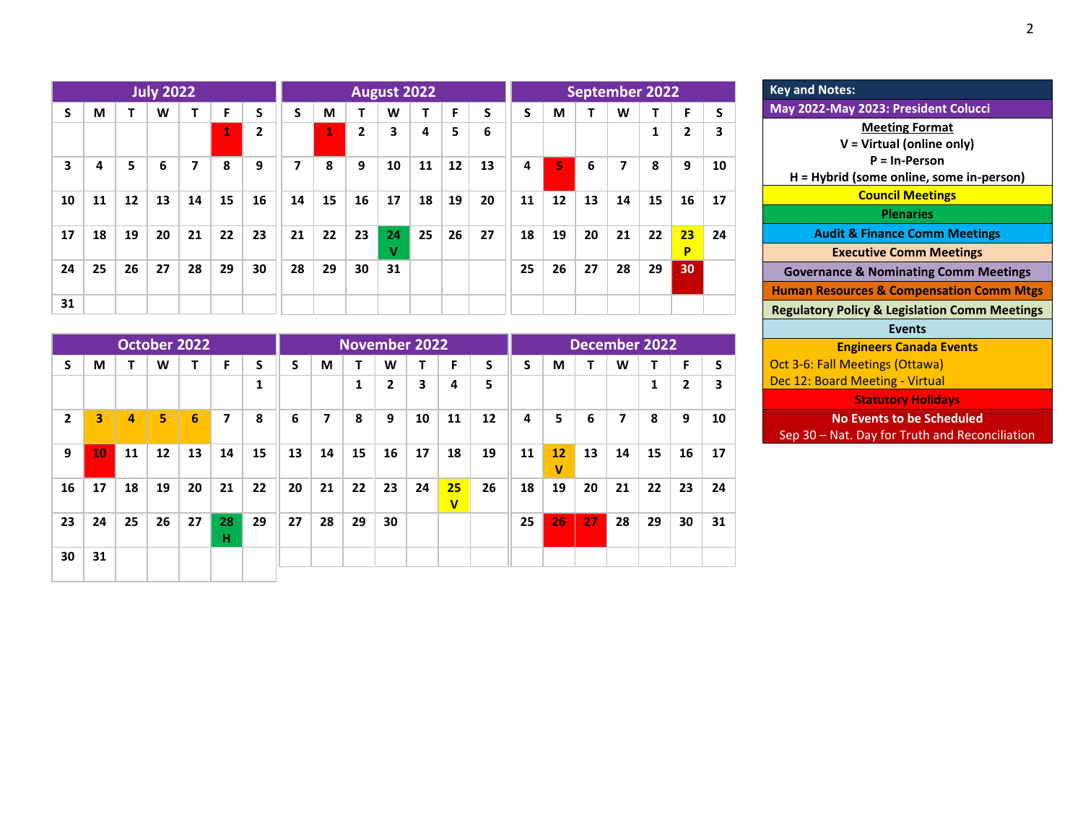|    |    |    | <b>July 2022</b> |    |              |                | August 2022 |                |                |         |    |    |    |    | <b>September 2022</b> |    |    |    |                |    |  |  |  |
|----|----|----|------------------|----|--------------|----------------|-------------|----------------|----------------|---------|----|----|----|----|-----------------------|----|----|----|----------------|----|--|--|--|
| S  | M  |    | W                | т  | F            | S              | S           | M              | т              | W       |    | F  | S  | S  | M                     |    | W  | т  | F              | S  |  |  |  |
|    |    |    |                  |    | $\mathbf{1}$ | $\overline{2}$ |             | $\mathbf{1}^+$ | $\overline{2}$ | 3       | 4  | 5  | 6  |    |                       |    |    | 1  | $\overline{2}$ | 3  |  |  |  |
| 3  | 4  | 5  | 6                | 7  | 8            | 9              | 7           | 8              | 9              | 10      | 11 | 12 | 13 | 4  | 5.                    | 6  | 7  | 8  | 9              | 10 |  |  |  |
| 10 | 11 | 12 | 13               | 14 | 15           | 16             | 14          | 15             | 16             | 17      | 18 | 19 | 20 | 11 | 12                    | 13 | 14 | 15 | 16             | 17 |  |  |  |
| 17 | 18 | 19 | 20               | 21 | 22           | 23             | 21          | 22             | 23             | 24<br>v | 25 | 26 | 27 | 18 | 19                    | 20 | 21 | 22 | 23<br>P        | 24 |  |  |  |
| 24 | 25 | 26 | 27               | 28 | 29           | 30             | 28          | 29             | 30             | 31      |    |    |    | 25 | 26                    | 27 | 28 | 29 | 30             |    |  |  |  |
| 31 |    |    |                  |    |              |                |             |                |                |         |    |    |    |    |                       |    |    |    |                |    |  |  |  |

|    |    |    |                   | <b>October 2022</b> |         |              |    |    |    |                | <b>November 2022</b> |                               | <b>December 2022</b> |    |         |    |    |    |    |    |  |
|----|----|----|-------------------|---------------------|---------|--------------|----|----|----|----------------|----------------------|-------------------------------|----------------------|----|---------|----|----|----|----|----|--|
| S  | M  |    | W                 | т                   | F       | S            | S  | М  | т  | W              | т                    | F                             | S                    | S  | М       |    | W  | т  | F  | S  |  |
|    |    |    |                   |                     |         | $\mathbf{1}$ |    |    | 1  | $\overline{2}$ | 3                    | 4                             | 5                    |    |         |    |    | 1  | 2  | 3  |  |
| 2  | 3  | 4  | 5                 | 6                   | 7       | 8            | 6  | 7  | 8  | 9              | 10                   | 11                            | 12                   | 4  | 5       | 6  | 7  | 8  | 9  | 10 |  |
| 9  | 10 | 11 | $12 \overline{ }$ | 13                  | 14      | 15           | 13 | 14 | 15 | 16             | 17                   | 18                            | 19                   | 11 | 12<br>v | 13 | 14 | 15 | 16 | 17 |  |
| 16 | 17 | 18 | 19                | 20                  | 21      | 22           | 20 | 21 | 22 | 23             | 24                   | 25<br>$\overline{\mathsf{v}}$ | 26                   | 18 | 19      | 20 | 21 | 22 | 23 | 24 |  |
| 23 | 24 | 25 | 26                | 27                  | 28<br>н | 29           | 27 | 28 | 29 | 30             |                      |                               |                      | 25 | 26      | 27 | 28 | 29 | 30 | 31 |  |
| 30 | 31 |    |                   |                     |         |              |    |    |    |                |                      |                               |                      |    |         |    |    |    |    |    |  |

| <b>Meeting Format</b>                                    |  |
|----------------------------------------------------------|--|
| V = Virtual (online only)                                |  |
| $P = In-Person$                                          |  |
| H = Hybrid (some online, some in-person)                 |  |
| <b>Council Meetings</b>                                  |  |
| <b>Plenaries</b>                                         |  |
| <b>Audit &amp; Finance Comm Meetings</b>                 |  |
| <b>Executive Comm Meetings</b>                           |  |
| <b>Governance &amp; Nominating Comm Meetings</b>         |  |
| <b>Human Resources &amp; Compensation Comm Mtgs</b>      |  |
| <b>Regulatory Policy &amp; Legislation Comm Meetings</b> |  |
| <b>Events</b>                                            |  |
| <b>Engineers Canada Events</b>                           |  |
| Oct 3-6: Fall Meetings (Ottawa)                          |  |
| Dec 12: Board Meeting - Virtual                          |  |
| <b>Statutory Holidays</b>                                |  |
| <b>No Events to be Scheduled</b>                         |  |
|                                                          |  |

**May 2022-May 2023: President Colucci**

**Key and Notes:**